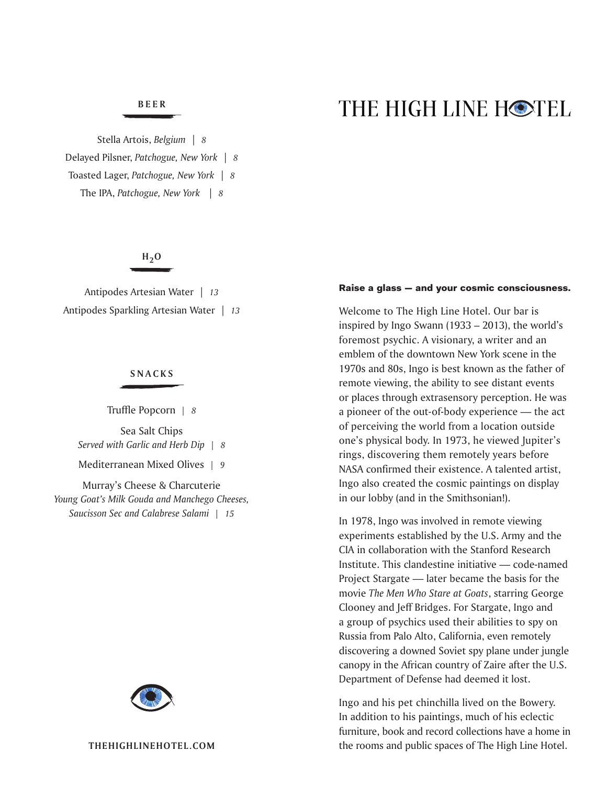# **BEER**

Stella Artois, *Belgium* | *8* Delayed Pilsner, *Patchogue, New York* | *8* Toasted Lager, *Patchogue, New York* | *8* The IPA, *Patchogue, New York* | *8*

# $H_2O$

Antipodes Artesian Water | *13* Antipodes Sparkling Artesian Water | *13*

#### **SNACKS**

Truffle Popcorn *| 8* Sea Salt Chips *Served with Garlic and Herb Dip | 8*

Mediterranean Mixed Olives *| 9*

Murray's Cheese & Charcuterie *Young Goat's Milk Gouda and Manchego Cheeses, Saucisson Sec and Calabrese Salami | 15*



# THE HIGH LINE HOTEL

#### Raise a glass — and your cosmic consciousness.

Welcome to The High Line Hotel. Our bar is inspired by Ingo Swann (1933 – 2013), the world's foremost psychic. A visionary, a writer and an emblem of the downtown New York scene in the 1970s and 80s, Ingo is best known as the father of remote viewing, the ability to see distant events or places through extrasensory perception. He was a pioneer of the out-of-body experience — the act of perceiving the world from a location outside one's physical body. In 1973, he viewed Jupiter's rings, discovering them remotely years before NASA confirmed their existence. A talented artist, Ingo also created the cosmic paintings on display in our lobby (and in the Smithsonian!).

In 1978, Ingo was involved in remote viewing experiments established by the U.S. Army and the CIA in collaboration with the Stanford Research Institute. This clandestine initiative — code-named Project Stargate — later became the basis for the movie *The Men Who Stare at Goats*, starring George Clooney and Jeff Bridges. For Stargate, Ingo and a group of psychics used their abilities to spy on Russia from Palo Alto, California, even remotely discovering a downed Soviet spy plane under jungle canopy in the African country of Zaire after the U.S. Department of Defense had deemed it lost.

Ingo and his pet chinchilla lived on the Bowery. In addition to his paintings, much of his eclectic furniture, book and record collections have a home in the rooms and public spaces of The High Line Hotel.